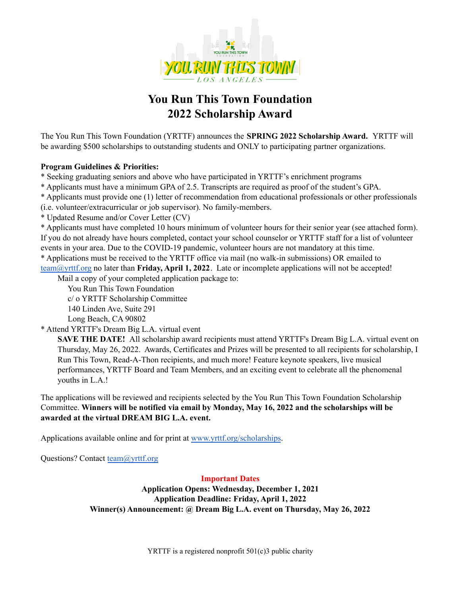

## **You Run This Town Foundation 2022 Scholarship Award**

The You Run This Town Foundation (YRTTF) announces the **SPRING 2022 Scholarship Award***.* YRTTF will be awarding \$500 scholarships to outstanding students and ONLY to participating partner organizations.

## **Program Guidelines & Priorities:**

\* Seeking graduating seniors and above who have participated in YRTTF's enrichment programs

\* Applicants must have a minimum GPA of 2.5. Transcripts are required as proof of the student's GPA.

\* Applicants must provide one (1) letter of recommendation from educational professionals or other professionals

(i.e. volunteer/extracurricular or job supervisor). No family-members.

\* Updated Resume and/or Cover Letter (CV)

\* Applicants must have completed 10 hours minimum of volunteer hours for their senior year (see attached form). If you do not already have hours completed, contact your school counselor or YRTTF staff for a list of volunteer events in your area. Due to the COVID-19 pandemic, volunteer hours are not mandatory at this time. \* Applications must be received to the YRTTF office via mail (no walk-in submissions) OR emailed to

[team@yrttf.org](mailto:team@yrttf.org) no later than **Friday, April 1, 2022**. Late or incomplete applications will not be accepted! Mail a copy of your completed application package to:

You Run This Town Foundation

c/ o YRTTF Scholarship Committee

140 Linden Ave, Suite 291

Long Beach, CA 90802

\* Attend YRTTF's Dream Big L.A. virtual event

**SAVE THE DATE!** All scholarship award recipients must attend YRTTF's Dream Big L.A. virtual event on Thursday, May 26, 2022. Awards, Certificates and Prizes will be presented to all recipients for scholarship, I Run This Town, Read-A-Thon recipients, and much more! Feature keynote speakers, live musical performances, YRTTF Board and Team Members, and an exciting event to celebrate all the phenomenal youths in L.A.!

The applications will be reviewed and recipients selected by the You Run This Town Foundation Scholarship Committee. **Winners will be notified via email by Monday, May 16, 2022 and the scholarships will be awarded at the virtual DREAM BIG L.A. event.**

Applications available online and for print at [www.yrttf.org/scholarships](http://www.yrttf.org/scholarships).

Questions? Contact [team@yrttf.org](mailto:team@yrttf.org)

### **Important Dates**

**Application Opens: Wednesday, December 1, 2021 Application Deadline: Friday, April 1, 2022 Winner(s) Announcement: @ Dream Big L.A. event on Thursday, May 26, 2022**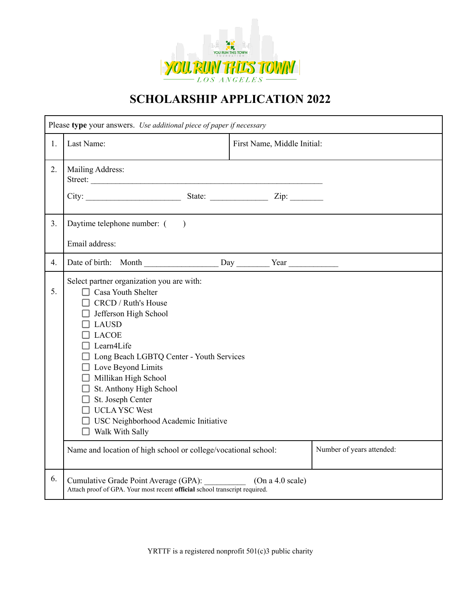

# **SCHOLARSHIP APPLICATION 2022**

| Please type your answers. Use additional piece of paper if necessary |                                                                                                                                                                                                                                                                                                                                                                                                                                                        |                             |                           |  |  |  |
|----------------------------------------------------------------------|--------------------------------------------------------------------------------------------------------------------------------------------------------------------------------------------------------------------------------------------------------------------------------------------------------------------------------------------------------------------------------------------------------------------------------------------------------|-----------------------------|---------------------------|--|--|--|
| 1.                                                                   | Last Name:                                                                                                                                                                                                                                                                                                                                                                                                                                             | First Name, Middle Initial: |                           |  |  |  |
| 2.                                                                   | Mailing Address:<br>Street:                                                                                                                                                                                                                                                                                                                                                                                                                            |                             |                           |  |  |  |
|                                                                      |                                                                                                                                                                                                                                                                                                                                                                                                                                                        |                             |                           |  |  |  |
| 3 <sub>1</sub>                                                       | Daytime telephone number: ()                                                                                                                                                                                                                                                                                                                                                                                                                           |                             |                           |  |  |  |
|                                                                      | Email address:                                                                                                                                                                                                                                                                                                                                                                                                                                         |                             |                           |  |  |  |
| 4.                                                                   |                                                                                                                                                                                                                                                                                                                                                                                                                                                        |                             |                           |  |  |  |
| 5.                                                                   | Select partner organization you are with:<br>$\Box$ Casa Youth Shelter<br>$\Box$ CRCD / Ruth's House<br>$\Box$ Jefferson High School<br>$\Box$ LAUSD<br>$\Box$ LACOE<br>$\Box$ Learn4Life<br>□ Long Beach LGBTQ Center - Youth Services<br>$\Box$ Love Beyond Limits<br>Millikan High School<br>$\Box$ St. Anthony High School<br>$\Box$ St. Joseph Center<br>$\Box$ UCLA YSC West<br>□ USC Neighborhood Academic Initiative<br>$\Box$ Walk With Sally |                             |                           |  |  |  |
|                                                                      | Name and location of high school or college/vocational school:                                                                                                                                                                                                                                                                                                                                                                                         |                             | Number of years attended: |  |  |  |
| 6.                                                                   | Cumulative Grade Point Average (GPA):<br>Attach proof of GPA. Your most recent official school transcript required.                                                                                                                                                                                                                                                                                                                                    | (On a 4.0 scale)            |                           |  |  |  |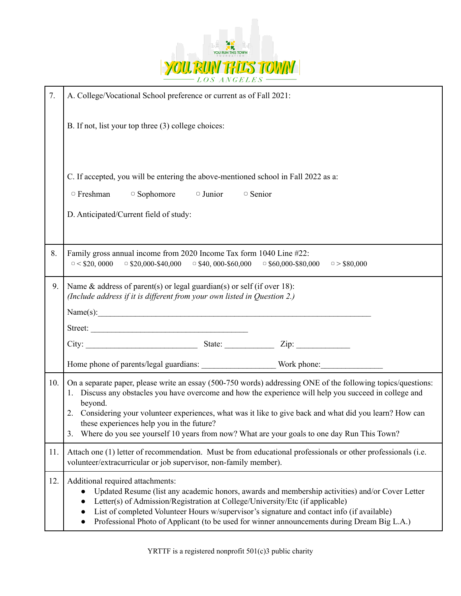

| 7.  | A. College/Vocational School preference or current as of Fall 2021:                                                                                                                                                                                                                                                                                                                                                                                                                            |  |  |  |  |  |  |
|-----|------------------------------------------------------------------------------------------------------------------------------------------------------------------------------------------------------------------------------------------------------------------------------------------------------------------------------------------------------------------------------------------------------------------------------------------------------------------------------------------------|--|--|--|--|--|--|
|     | B. If not, list your top three (3) college choices:                                                                                                                                                                                                                                                                                                                                                                                                                                            |  |  |  |  |  |  |
|     | C. If accepted, you will be entering the above-mentioned school in Fall 2022 as a:<br>$\Box$ Sophomore $\Box$ Junior<br>$\circ$ Freshman<br>$\Box$ Senior<br>D. Anticipated/Current field of study:                                                                                                                                                                                                                                                                                            |  |  |  |  |  |  |
| 8.  | Family gross annual income from 2020 Income Tax form 1040 Line #22:<br>$\circ$ < \$20, 0000<br>$\circ$ \$20,000-\$40,000<br>$\circ$ \$40, 000-\$60,000<br>$\overline{)}$ \$60,000-\$80,000<br>$\circ$ > \$80,000                                                                                                                                                                                                                                                                               |  |  |  |  |  |  |
| 9.  | Name $\&$ address of parent(s) or legal guardian(s) or self (if over 18):<br>(Include address if it is different from your own listed in Question 2.)<br>Name(s):                                                                                                                                                                                                                                                                                                                              |  |  |  |  |  |  |
|     |                                                                                                                                                                                                                                                                                                                                                                                                                                                                                                |  |  |  |  |  |  |
|     |                                                                                                                                                                                                                                                                                                                                                                                                                                                                                                |  |  |  |  |  |  |
| 10. | On a separate paper, please write an essay (500-750 words) addressing ONE of the following topics/questions:<br>1. Discuss any obstacles you have overcome and how the experience will help you succeed in college and<br>beyond.<br>2. Considering your volunteer experiences, what was it like to give back and what did you learn? How can<br>these experiences help you in the future?<br>Where do you see yourself 10 years from now? What are your goals to one day Run This Town?<br>3. |  |  |  |  |  |  |
| 11. | Attach one (1) letter of recommendation. Must be from educational professionals or other professionals (i.e.<br>volunteer/extracurricular or job supervisor, non-family member).                                                                                                                                                                                                                                                                                                               |  |  |  |  |  |  |
| 12. | Additional required attachments:<br>Updated Resume (list any academic honors, awards and membership activities) and/or Cover Letter<br>Letter(s) of Admission/Registration at College/University/Etc (if applicable)<br>List of completed Volunteer Hours w/supervisor's signature and contact info (if available)<br>Professional Photo of Applicant (to be used for winner announcements during Dream Big L.A.)                                                                              |  |  |  |  |  |  |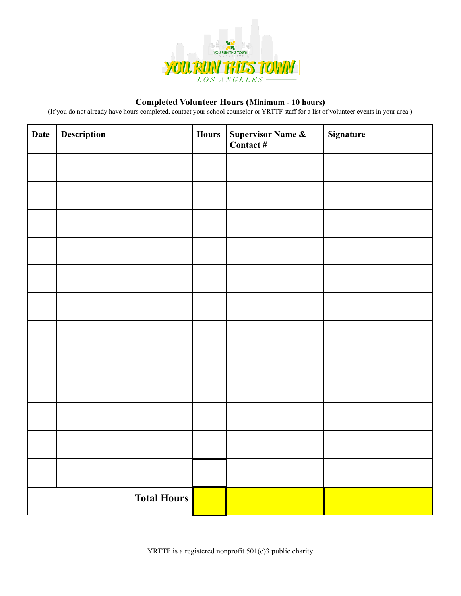

## **Completed Volunteer Hours (Minimum - 10 hours)**

(If you do not already have hours completed, contact your school counselor or YRTTF staff for a list of volunteer events in your area.)

| <b>Date</b>        | Description<br><b>Hours</b> |  | Supervisor Name &<br>Contact # | Signature |  |
|--------------------|-----------------------------|--|--------------------------------|-----------|--|
|                    |                             |  |                                |           |  |
|                    |                             |  |                                |           |  |
|                    |                             |  |                                |           |  |
|                    |                             |  |                                |           |  |
|                    |                             |  |                                |           |  |
|                    |                             |  |                                |           |  |
|                    |                             |  |                                |           |  |
|                    |                             |  |                                |           |  |
|                    |                             |  |                                |           |  |
|                    |                             |  |                                |           |  |
|                    |                             |  |                                |           |  |
|                    |                             |  |                                |           |  |
| <b>Total Hours</b> |                             |  |                                |           |  |